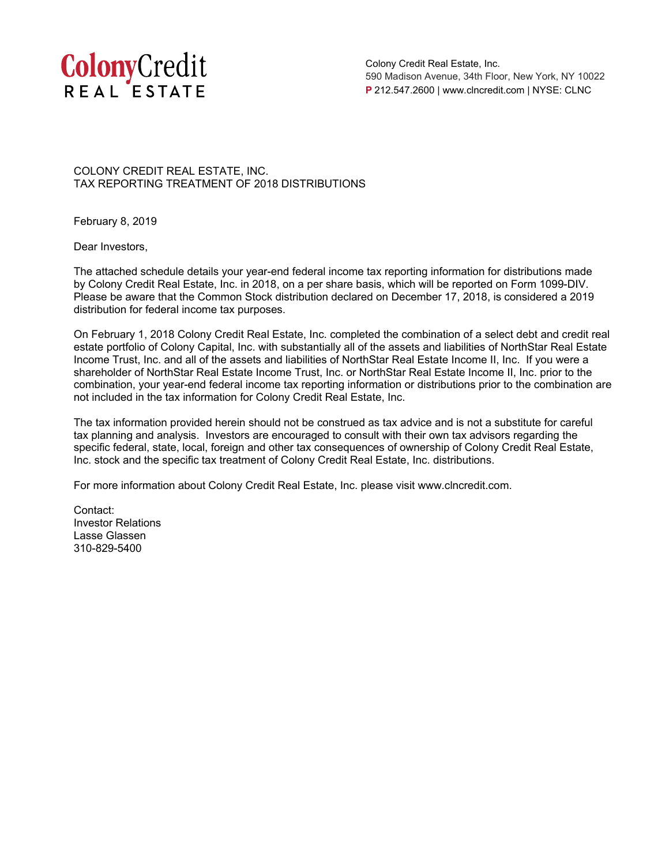

Colony Credit Real Estate, Inc. 590 Madison Avenue, 34th Floor, New York, NY 10022 **P** 212.547.2600 | www.clncredit.com | NYSE: CLNC

COLONY CREDIT REAL ESTATE, INC. TAX REPORTING TREATMENT OF 2018 DISTRIBUTIONS

February 8, 2019

Dear Investors,

The attached schedule details your year-end federal income tax reporting information for distributions made by Colony Credit Real Estate, Inc. in 2018, on a per share basis, which will be reported on Form 1099-DIV. Please be aware that the Common Stock distribution declared on December 17, 2018, is considered a 2019 distribution for federal income tax purposes.

On February 1, 2018 Colony Credit Real Estate, Inc. completed the combination of a select debt and credit real estate portfolio of Colony Capital, Inc. with substantially all of the assets and liabilities of NorthStar Real Estate Income Trust, Inc. and all of the assets and liabilities of NorthStar Real Estate Income II, Inc. If you were a shareholder of NorthStar Real Estate Income Trust, Inc. or NorthStar Real Estate Income II, Inc. prior to the combination, your year-end federal income tax reporting information or distributions prior to the combination are not included in the tax information for Colony Credit Real Estate, Inc.

The tax information provided herein should not be construed as tax advice and is not a substitute for careful tax planning and analysis. Investors are encouraged to consult with their own tax advisors regarding the specific federal, state, local, foreign and other tax consequences of ownership of Colony Credit Real Estate, Inc. stock and the specific tax treatment of Colony Credit Real Estate, Inc. distributions.

For more information about Colony Credit Real Estate, Inc. please visit www.clncredit.com.

Contact: Investor Relations Lasse Glassen 310-829-5400